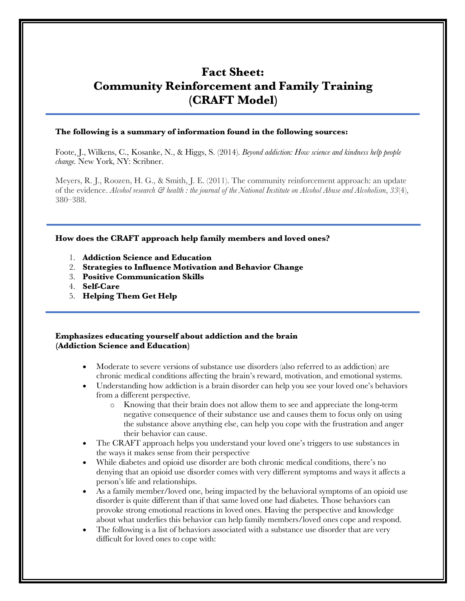# **Fact Sheet: Community Reinforcement and Family Training (CRAFT Model)**

### **The following is a summary of information found in the following sources:**

Foote, J., Wilkens, C., Kosanke, N., & Higgs, S. (2014). *Beyond addiction: How science and kindness help people change.* New York, NY: Scribner.

Meyers, R. J., Roozen, H. G., & Smith, J. E. (2011). The community reinforcement approach: an update of the evidence. *Alcohol research & health : the journal of the National Institute on Alcohol Abuse and Alcoholism*, *33*(4), 380–388.

#### **How does the CRAFT approach help family members and loved ones?**

- 1. **Addiction Science and Education**
- 2. **Strategies to Influence Motivation and Behavior Change**
- 3. **Positive Communication Skills**
- 4. **Self-Care**
- 5. **Helping Them Get Help**

#### **Emphasizes educating yourself about addiction and the brain (Addiction Science and Education)**

- Moderate to severe versions of substance use disorders (also referred to as addiction) are chronic medical conditions affecting the brain's reward, motivation, and emotional systems.
- Understanding how addiction is a brain disorder can help you see your loved one's behaviors from a different perspective.
	- o Knowing that their brain does not allow them to see and appreciate the long-term negative consequence of their substance use and causes them to focus only on using the substance above anything else, can help you cope with the frustration and anger their behavior can cause.
- The CRAFT approach helps you understand your loved one's triggers to use substances in the ways it makes sense from their perspective
- While diabetes and opioid use disorder are both chronic medical conditions, there's no denying that an opioid use disorder comes with very different symptoms and ways it affects a person's life and relationships.
- As a family member/loved one, being impacted by the behavioral symptoms of an opioid use disorder is quite different than if that same loved one had diabetes. Those behaviors can provoke strong emotional reactions in loved ones. Having the perspective and knowledge about what underlies this behavior can help family members/loved ones cope and respond.
- The following is a list of behaviors associated with a substance use disorder that are very difficult for loved ones to cope with: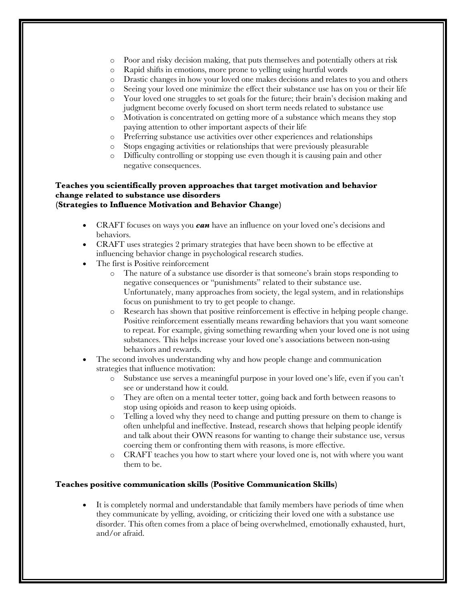- o Poor and risky decision making, that puts themselves and potentially others at risk
- o Rapid shifts in emotions, more prone to yelling using hurtful words
- o Drastic changes in how your loved one makes decisions and relates to you and others
- o Seeing your loved one minimize the effect their substance use has on you or their life
- o Your loved one struggles to set goals for the future; their brain's decision making and judgment become overly focused on short term needs related to substance use
- o Motivation is concentrated on getting more of a substance which means they stop paying attention to other important aspects of their life
- o Preferring substance use activities over other experiences and relationships
- o Stops engaging activities or relationships that were previously pleasurable
- o Difficulty controlling or stopping use even though it is causing pain and other negative consequences.

### **Teaches you scientifically proven approaches that target motivation and behavior change related to substance use disorders (Strategies to Influence Motivation and Behavior Change)**

- CRAFT focuses on ways you *can* have an influence on your loved one's decisions and behaviors.
- CRAFT uses strategies 2 primary strategies that have been shown to be effective at influencing behavior change in psychological research studies.
- The first is Positive reinforcement
	- o The nature of a substance use disorder is that someone's brain stops responding to negative consequences or "punishments" related to their substance use. Unfortunately, many approaches from society, the legal system, and in relationships focus on punishment to try to get people to change.
	- o Research has shown that positive reinforcement is effective in helping people change. Positive reinforcement essentially means rewarding behaviors that you want someone to repeat. For example, giving something rewarding when your loved one is not using substances. This helps increase your loved one's associations between non-using behaviors and rewards.
- The second involves understanding why and how people change and communication strategies that influence motivation:
	- o Substance use serves a meaningful purpose in your loved one's life, even if you can't see or understand how it could.
	- o They are often on a mental teeter totter, going back and forth between reasons to stop using opioids and reason to keep using opioids.
	- o Telling a loved why they need to change and putting pressure on them to change is often unhelpful and ineffective. Instead, research shows that helping people identify and talk about their OWN reasons for wanting to change their substance use, versus coercing them or confronting them with reasons, is more effective.
	- o CRAFT teaches you how to start where your loved one is, not with where you want them to be.

## **Teaches positive communication skills (Positive Communication Skills)**

• It is completely normal and understandable that family members have periods of time when they communicate by yelling, avoiding, or criticizing their loved one with a substance use disorder. This often comes from a place of being overwhelmed, emotionally exhausted, hurt, and/or afraid.